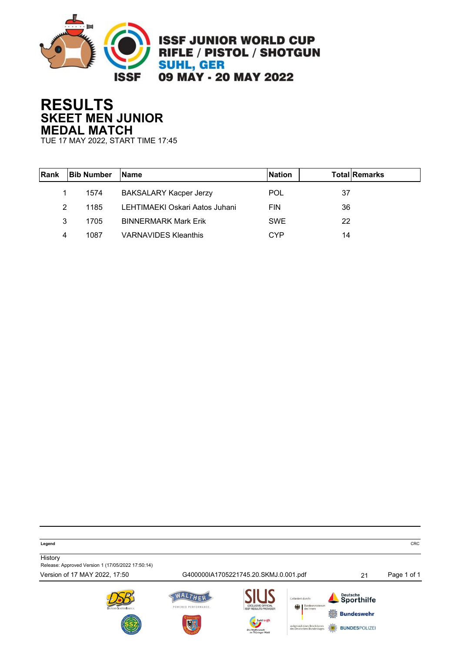

## **RESULTS SKEET MEN JUNIOR MEDAL MATCH**

TUE 17 MAY 2022, START TIME 17:45

| <b>Rank</b> | <b>Bib Number</b> | <b>IName</b>                   | <b>Nation</b> | <b>Total Remarks</b> |
|-------------|-------------------|--------------------------------|---------------|----------------------|
|             | 1574              | <b>BAKSALARY Kacper Jerzy</b>  | <b>POL</b>    | 37                   |
| 2           | 1185              | LEHTIMAEKI Oskari Aatos Juhani | <b>FIN</b>    | 36                   |
| 3           | 1705              | <b>BINNERMARK Mark Erik</b>    | <b>SWE</b>    | 22                   |
| 4           | 1087              | <b>VARNAVIDES Kleanthis</b>    | CYP           | 14                   |

**Legend** CRC

**History** Release: Approved Version 1 (17/05/2022 17:50:14)

Version of 17 MAY 2022, 17:50 G400000IA1705221745.20.SKMJ.0.001.pdf 21 Page 1 of 1









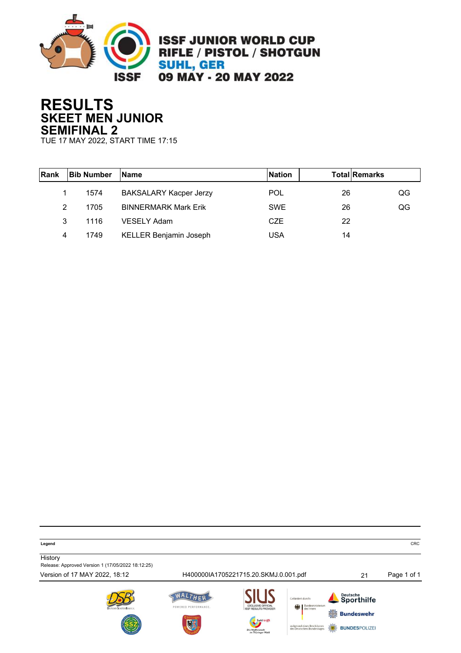

## **RESULTS SKEET MEN JUNIOR SEMIFINAL 2**

TUE 17 MAY 2022, START TIME 17:15

| Rank | <b>Bib Number</b> | <b>Name</b>                   | <b>Nation</b> | <b>Total Remarks</b> |    |
|------|-------------------|-------------------------------|---------------|----------------------|----|
|      | 1574              | <b>BAKSALARY Kacper Jerzy</b> | <b>POL</b>    | 26                   | QG |
| 2    | 1705              | <b>BINNERMARK Mark Erik</b>   | <b>SWE</b>    | 26                   | QG |
| 3    | 1116              | <b>VESELY Adam</b>            | CZE           | 22                   |    |
| 4    | 1749              | <b>KELLER Benjamin Joseph</b> | USA           | 14                   |    |

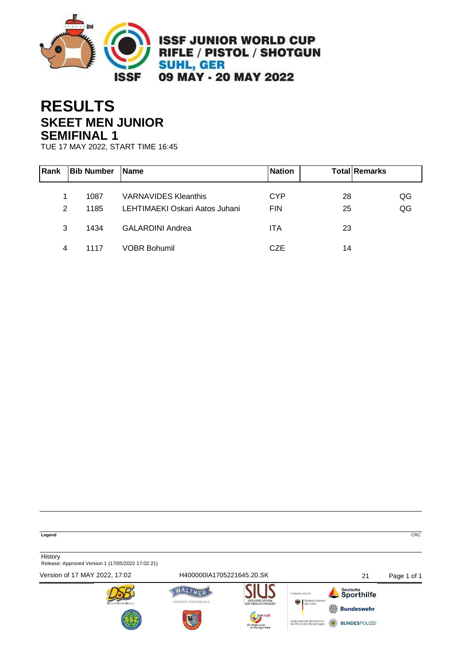

## **RESULTS SKEET MEN JUNIOR SEMIFINAL 1**

TUE 17 MAY 2022, START TIME 16:45

| Rank | <b>Bib Number</b> | <b>Name</b>                    | <b>Nation</b> |    | <b>Total Remarks</b> |
|------|-------------------|--------------------------------|---------------|----|----------------------|
|      | 1087              | <b>VARNAVIDES Kleanthis</b>    | <b>CYP</b>    | 28 | QG                   |
| 2    | 1185              | LEHTIMAEKI Oskari Aatos Juhani | <b>FIN</b>    | 25 | QG                   |
| 3    | 1434              | <b>GALARDINI Andrea</b>        | <b>ITA</b>    | 23 |                      |
| 4    | 1117              | <b>VOBR Bohumil</b>            | CZE           | 14 |                      |

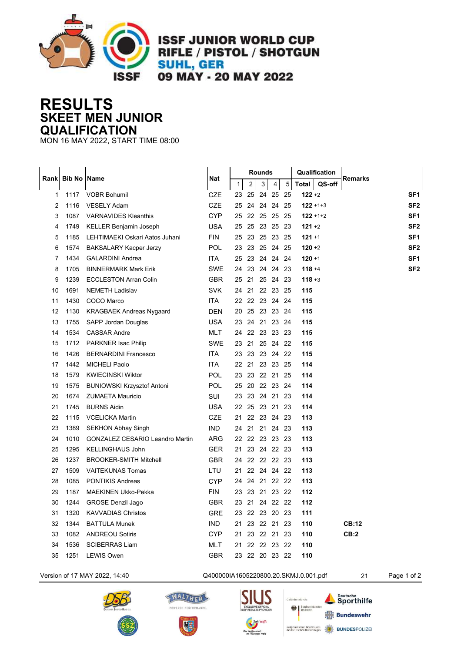

**ISSF JUNIOR WORLD CUP** RIFLE / PISTOL / SHOTGUN **SUHL, GER** 09 MAY - 20 MAY 2022

**RESULTS SKEET MEN JUNIOR QUALIFICATION**

MON 16 MAY 2022, START TIME 08:00

|              |                     |                                        |            | <b>Rounds</b> |                |  |    |                |                | Qualification |               |                |                 |
|--------------|---------------------|----------------------------------------|------------|---------------|----------------|--|----|----------------|----------------|---------------|---------------|----------------|-----------------|
| Rankl        | <b>Bib No IName</b> |                                        | <b>Nat</b> | $\mathbf{1}$  | $\overline{2}$ |  | 3  | 4 <sup>1</sup> | $\overline{5}$ | <b>Total</b>  | QS-off        | <b>Remarks</b> |                 |
| $\mathbf{1}$ | 1117                | <b>VOBR Bohumil</b>                    | <b>CZE</b> | 23            | 25             |  | 24 | 25             | 25             | $122 + 2$     |               |                | SF1             |
| 2            | 1116                | <b>VESELY Adam</b>                     | CZE        | 25            | 24             |  |    | 24 24          | 25             |               | $122 + 1 + 3$ |                | SF <sub>2</sub> |
| 3            | 1087                | <b>VARNAVIDES Kleanthis</b>            | <b>CYP</b> | 25            |                |  |    | 22 25 25 25    |                |               | $122 + 1 + 2$ |                | SF <sub>1</sub> |
| 4            | 1749                | <b>KELLER Benjamin Joseph</b>          | <b>USA</b> | 25            | 25             |  |    | 23 25          | -23            | $121 + 2$     |               |                | SF <sub>2</sub> |
| 5            | 1185                | LEHTIMAEKI Oskari Aatos Juhani         | <b>FIN</b> | 25            | 23             |  |    | 25 23 25       |                | $121 + 1$     |               |                | SF <sub>1</sub> |
| 6            | 1574                | <b>BAKSALARY Kacper Jerzy</b>          | POL.       | 23            |                |  |    | 23 25 24 25    |                | $120 + 2$     |               |                | SF2             |
| 7            | 1434                | <b>GALARDINI Andrea</b>                | ITA        | 25            | 23             |  |    | 24  24  24     |                | $120 + 1$     |               |                | SF <sub>1</sub> |
| 8            | 1705                | <b>BINNERMARK Mark Erik</b>            | <b>SWE</b> | 24            |                |  |    | 23 24 24 23    |                | $118 + 4$     |               |                | SF <sub>2</sub> |
| 9            | 1239                | <b>ECCLESTON Arran Colin</b>           | <b>GBR</b> | 25            |                |  |    | 21 25 24 23    |                | $118 + 3$     |               |                |                 |
| 10           | 1691                | <b>NEMETH Ladislav</b>                 | <b>SVK</b> |               |                |  |    | 24 21 22 23 25 |                | 115           |               |                |                 |
| 11           | 1430                | COCO Marco                             | ITA.       |               |                |  |    | 22 22 23 24 24 |                | 115           |               |                |                 |
| 12           | 1130                | <b>KRAGBAEK Andreas Nygaard</b>        | <b>DEN</b> | 20            |                |  |    | 25 23 23 24    |                | 115           |               |                |                 |
| 13           | 1755                | SAPP Jordan Douglas                    | <b>USA</b> | 23            |                |  |    | 24 21 23 24    |                | 115           |               |                |                 |
| 14           | 1534                | <b>CASSAR Andre</b>                    | MLT        |               |                |  |    | 24 22 23 23 23 |                | 115           |               |                |                 |
| 15           | 1712                | PARKNER Isac Philip                    | <b>SWE</b> |               |                |  |    | 23 21 25 24 22 |                | 115           |               |                |                 |
| 16           | 1426                | <b>BERNARDINI Francesco</b>            | <b>ITA</b> |               |                |  |    | 23 23 23 24 22 |                | 115           |               |                |                 |
| 17           | 1442                | <b>MICHELI Paolo</b>                   | ITA        |               |                |  |    | 22 21 23 23 25 |                | 114           |               |                |                 |
| 18           | 1579                | <b>KWIECINSKI Wiktor</b>               | <b>POL</b> |               |                |  |    | 23 23 22 21 25 |                | 114           |               |                |                 |
| 19           | 1575                | <b>BUNIOWSKI Krzysztof Antoni</b>      | <b>POL</b> |               |                |  |    | 25 20 22 23 24 |                | 114           |               |                |                 |
| 20           | 1674                | <b>ZUMAETA Mauricio</b>                | SUI        |               |                |  |    | 23 23 24 21 23 |                | 114           |               |                |                 |
| 21           | 1745                | <b>BURNS Aidin</b>                     | USA        |               |                |  |    | 22 25 23 21 23 |                | 114           |               |                |                 |
| 22           | 1115                | <b>VCELICKA Martin</b>                 | <b>CZE</b> | 21            |                |  |    | 22 23 24 23    |                | 113           |               |                |                 |
| 23           | 1389                | <b>SEKHON Abhay Singh</b>              | <b>IND</b> |               |                |  |    | 24 21 21 24 23 |                | 113           |               |                |                 |
| 24           | 1010                | <b>GONZALEZ CESARIO Leandro Martin</b> | <b>ARG</b> |               |                |  |    | 22 22 23 23 23 |                | 113           |               |                |                 |
| 25           | 1295                | <b>KELLINGHAUS John</b>                | <b>GER</b> |               |                |  |    | 21 23 24 22 23 |                | 113           |               |                |                 |
| 26           | 1237                | <b>BROOKER-SMITH Mitchell</b>          | <b>GBR</b> |               |                |  |    | 24 22 22 22 23 |                | 113           |               |                |                 |
| 27           | 1509                | <b>VAITEKUNAS Tomas</b>                | LTU        |               |                |  |    | 21 22 24 24 22 |                | 113           |               |                |                 |
| 28           | 1085                | <b>PONTIKIS Andreas</b>                | <b>CYP</b> |               |                |  |    | 24 24 21 22 22 |                | 113           |               |                |                 |
| 29           | 1187                | <b>MAEKINEN Ukko-Pekka</b>             | <b>FIN</b> | 23            |                |  |    | 23 21 23 22    |                | 112           |               |                |                 |
| 30           | 1244                | <b>GROSE Denzil Jago</b>               | <b>GBR</b> |               |                |  |    | 23 21 24 22 22 |                | 112           |               |                |                 |
| 31           | 1320                | <b>KAVVADIAS Christos</b>              | <b>GRE</b> |               |                |  |    | 23 22 23 20 23 |                | 111           |               |                |                 |
| 32           | 1344                | <b>BATTULA Munek</b>                   | <b>IND</b> | 21            |                |  |    | 23 22 21 23    |                | 110           |               | <b>CB:12</b>   |                 |
| 33           | 1082                | <b>ANDREOU Sotiris</b>                 | <b>CYP</b> |               |                |  |    | 21 23 22 21 23 |                | 110           |               | CB:2           |                 |
| 34           | 1536                | <b>SCIBERRAS Liam</b>                  | MLT        | 21            |                |  |    | 22 22 23 22    |                | 110           |               |                |                 |
| 35           | 1251                | <b>LEWIS Owen</b>                      | <b>GBR</b> |               |                |  |    | 23 22 20 23 22 |                | 110           |               |                |                 |

Version of 17 MAY 2022, 14:40 Q400000IA1605220800.20.SKMJ.0.001.pdf 21 Page 1 of 2